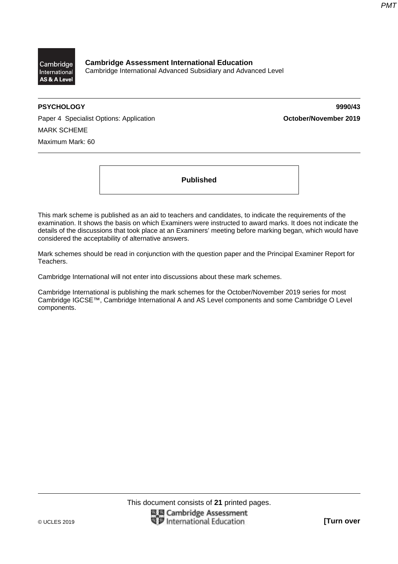

**Cambridge Assessment International Education**  Cambridge International Advanced Subsidiary and Advanced Level

**PSYCHOLOGY 9990/43** 

Paper 4 Specialist Options: Application **Container 1999 October/November 2019** MARK SCHEME Maximum Mark: 60

**Published** 

This mark scheme is published as an aid to teachers and candidates, to indicate the requirements of the examination. It shows the basis on which Examiners were instructed to award marks. It does not indicate the details of the discussions that took place at an Examiners' meeting before marking began, which would have considered the acceptability of alternative answers.

Mark schemes should be read in conjunction with the question paper and the Principal Examiner Report for Teachers.

Cambridge International will not enter into discussions about these mark schemes.

Cambridge International is publishing the mark schemes for the October/November 2019 series for most Cambridge IGCSE™, Cambridge International A and AS Level components and some Cambridge O Level components.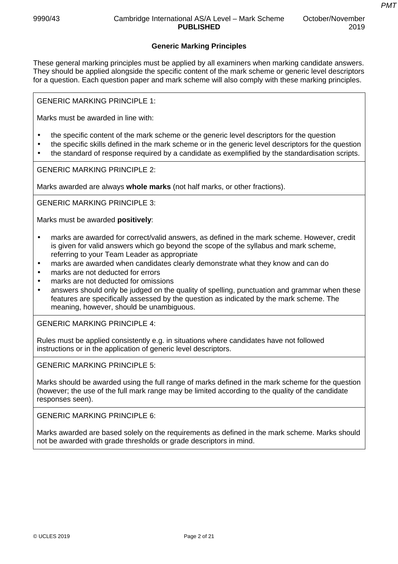*PMT*

## **Generic Marking Principles**

These general marking principles must be applied by all examiners when marking candidate answers. They should be applied alongside the specific content of the mark scheme or generic level descriptors for a question. Each question paper and mark scheme will also comply with these marking principles.

GENERIC MARKING PRINCIPLE 1:

Marks must be awarded in line with:

- the specific content of the mark scheme or the generic level descriptors for the question
- the specific skills defined in the mark scheme or in the generic level descriptors for the question
- the standard of response required by a candidate as exemplified by the standardisation scripts.

GENERIC MARKING PRINCIPLE 2:

Marks awarded are always **whole marks** (not half marks, or other fractions).

GENERIC MARKING PRINCIPLE 3:

Marks must be awarded **positively**:

- marks are awarded for correct/valid answers, as defined in the mark scheme. However, credit is given for valid answers which go beyond the scope of the syllabus and mark scheme, referring to your Team Leader as appropriate
- marks are awarded when candidates clearly demonstrate what they know and can do
- marks are not deducted for errors
- marks are not deducted for omissions
- answers should only be judged on the quality of spelling, punctuation and grammar when these features are specifically assessed by the question as indicated by the mark scheme. The meaning, however, should be unambiguous.

GENERIC MARKING PRINCIPLE 4:

Rules must be applied consistently e.g. in situations where candidates have not followed instructions or in the application of generic level descriptors.

GENERIC MARKING PRINCIPLE 5:

Marks should be awarded using the full range of marks defined in the mark scheme for the question (however; the use of the full mark range may be limited according to the quality of the candidate responses seen).

GENERIC MARKING PRINCIPLE 6:

Marks awarded are based solely on the requirements as defined in the mark scheme. Marks should not be awarded with grade thresholds or grade descriptors in mind.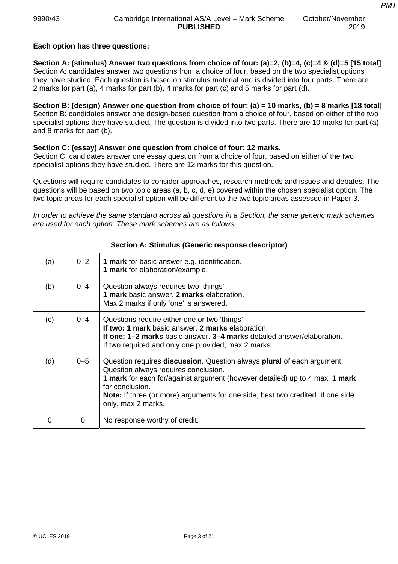## **Each option has three questions:**

**Section A: (stimulus) Answer two questions from choice of four: (a)=2, (b)=4, (c)=4 & (d)=5 [15 total]**  Section A: candidates answer two questions from a choice of four, based on the two specialist options they have studied. Each question is based on stimulus material and is divided into four parts. There are 2 marks for part (a), 4 marks for part (b), 4 marks for part (c) and 5 marks for part (d).

**Section B: (design) Answer one question from choice of four: (a) = 10 marks, (b) = 8 marks [18 total]**  Section B: candidates answer one design-based question from a choice of four, based on either of the two specialist options they have studied. The question is divided into two parts. There are 10 marks for part (a) and 8 marks for part (b).

### **Section C: (essay) Answer one question from choice of four: 12 marks.**

Section C: candidates answer one essay question from a choice of four, based on either of the two specialist options they have studied. There are 12 marks for this question.

Questions will require candidates to consider approaches, research methods and issues and debates. The questions will be based on two topic areas (a, b, c, d, e) covered within the chosen specialist option. The two topic areas for each specialist option will be different to the two topic areas assessed in Paper 3.

*In order to achieve the same standard across all questions in a Section, the same generic mark schemes are used for each option. These mark schemes are as follows.* 

|     |         | Section A: Stimulus (Generic response descriptor)                                                                                                                                                                                                                                                                                |
|-----|---------|----------------------------------------------------------------------------------------------------------------------------------------------------------------------------------------------------------------------------------------------------------------------------------------------------------------------------------|
| (a) | $0 - 2$ | <b>1 mark</b> for basic answer e.g. identification.<br>1 mark for elaboration/example.                                                                                                                                                                                                                                           |
| (b) | $0 - 4$ | Question always requires two 'things'<br>1 mark basic answer. 2 marks elaboration.<br>Max 2 marks if only 'one' is answered.                                                                                                                                                                                                     |
| (c) | $0 - 4$ | Questions require either one or two 'things'<br>If two: 1 mark basic answer. 2 marks elaboration.<br><b>If one: 1–2 marks</b> basic answer, 3–4 marks detailed answer/elaboration.<br>If two required and only one provided, max 2 marks.                                                                                        |
| (d) | $0 - 5$ | Question requires discussion. Question always plural of each argument.<br>Question always requires conclusion.<br>1 mark for each for/against argument (however detailed) up to 4 max. 1 mark<br>for conclusion.<br><b>Note:</b> If three (or more) arguments for one side, best two credited. If one side<br>only, max 2 marks. |
|     | 0       | No response worthy of credit.                                                                                                                                                                                                                                                                                                    |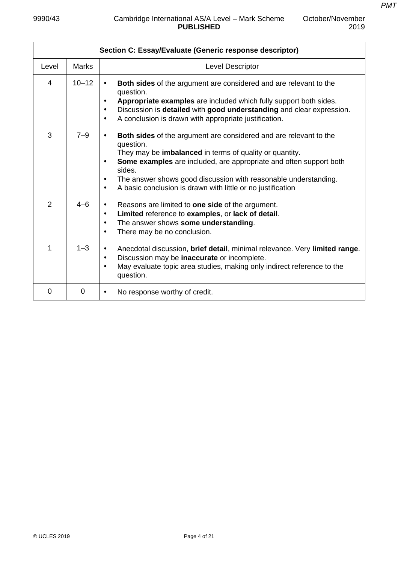| Section C: Essay/Evaluate (Generic response descriptor) |              |                                                                                                                                                                                                                                                                                                                                                                                                                        |  |  |
|---------------------------------------------------------|--------------|------------------------------------------------------------------------------------------------------------------------------------------------------------------------------------------------------------------------------------------------------------------------------------------------------------------------------------------------------------------------------------------------------------------------|--|--|
| Level                                                   | <b>Marks</b> | <b>Level Descriptor</b>                                                                                                                                                                                                                                                                                                                                                                                                |  |  |
| 4                                                       | $10 - 12$    | <b>Both sides</b> of the argument are considered and are relevant to the<br>$\bullet$<br>question.<br>Appropriate examples are included which fully support both sides.<br>$\bullet$<br>Discussion is detailed with good understanding and clear expression.<br>$\bullet$<br>A conclusion is drawn with appropriate justification.<br>$\bullet$                                                                        |  |  |
| 3                                                       | $7 - 9$      | <b>Both sides</b> of the argument are considered and are relevant to the<br>$\bullet$<br>question.<br>They may be imbalanced in terms of quality or quantity.<br>Some examples are included, are appropriate and often support both<br>$\bullet$<br>sides.<br>The answer shows good discussion with reasonable understanding.<br>$\bullet$<br>A basic conclusion is drawn with little or no justification<br>$\bullet$ |  |  |
| 2                                                       | $4 - 6$      | Reasons are limited to one side of the argument.<br>$\bullet$<br>Limited reference to examples, or lack of detail.<br>$\bullet$<br>The answer shows some understanding.<br>$\bullet$<br>There may be no conclusion.<br>$\bullet$                                                                                                                                                                                       |  |  |
| 1                                                       | $1 - 3$      | Anecdotal discussion, brief detail, minimal relevance. Very limited range.<br>$\bullet$<br>Discussion may be inaccurate or incomplete.<br>$\bullet$<br>May evaluate topic area studies, making only indirect reference to the<br>$\bullet$<br>question.                                                                                                                                                                |  |  |
| 0                                                       | 0            | No response worthy of credit.<br>$\bullet$                                                                                                                                                                                                                                                                                                                                                                             |  |  |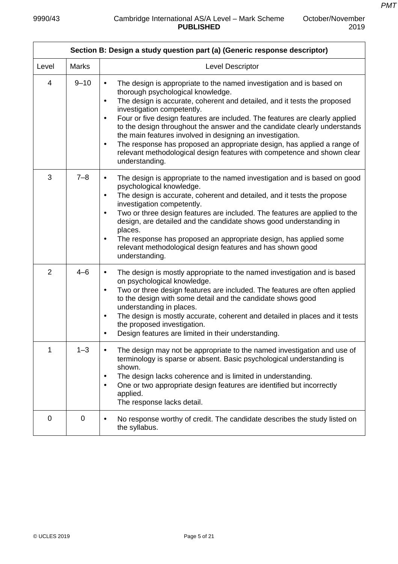$\mathbf{r}$ 

October/November

2019

h

|                | Section B: Design a study question part (a) (Generic response descriptor) |                                                                                                                                                                                                                                                                                                                                                                                                                                                                                                                                                                                                                                                                          |  |  |  |
|----------------|---------------------------------------------------------------------------|--------------------------------------------------------------------------------------------------------------------------------------------------------------------------------------------------------------------------------------------------------------------------------------------------------------------------------------------------------------------------------------------------------------------------------------------------------------------------------------------------------------------------------------------------------------------------------------------------------------------------------------------------------------------------|--|--|--|
| Level          | <b>Marks</b>                                                              | Level Descriptor                                                                                                                                                                                                                                                                                                                                                                                                                                                                                                                                                                                                                                                         |  |  |  |
| $\overline{4}$ | $9 - 10$                                                                  | The design is appropriate to the named investigation and is based on<br>$\bullet$<br>thorough psychological knowledge.<br>The design is accurate, coherent and detailed, and it tests the proposed<br>$\bullet$<br>investigation competently.<br>Four or five design features are included. The features are clearly applied<br>$\bullet$<br>to the design throughout the answer and the candidate clearly understands<br>the main features involved in designing an investigation.<br>The response has proposed an appropriate design, has applied a range of<br>$\bullet$<br>relevant methodological design features with competence and shown clear<br>understanding. |  |  |  |
| 3              | $7 - 8$                                                                   | The design is appropriate to the named investigation and is based on good<br>$\bullet$<br>psychological knowledge.<br>The design is accurate, coherent and detailed, and it tests the propose<br>$\bullet$<br>investigation competently.<br>Two or three design features are included. The features are applied to the<br>$\bullet$<br>design, are detailed and the candidate shows good understanding in<br>places.<br>The response has proposed an appropriate design, has applied some<br>$\bullet$<br>relevant methodological design features and has shown good<br>understanding.                                                                                   |  |  |  |
| $\overline{2}$ | $4 - 6$                                                                   | The design is mostly appropriate to the named investigation and is based<br>$\bullet$<br>on psychological knowledge.<br>Two or three design features are included. The features are often applied<br>$\bullet$<br>to the design with some detail and the candidate shows good<br>understanding in places.<br>The design is mostly accurate, coherent and detailed in places and it tests<br>$\bullet$<br>the proposed investigation.<br>Design features are limited in their understanding.<br>$\bullet$                                                                                                                                                                 |  |  |  |
| 1              | $1 - 3$                                                                   | The design may not be appropriate to the named investigation and use of<br>terminology is sparse or absent. Basic psychological understanding is<br>shown.<br>The design lacks coherence and is limited in understanding.<br>$\bullet$<br>One or two appropriate design features are identified but incorrectly<br>$\bullet$<br>applied.<br>The response lacks detail.                                                                                                                                                                                                                                                                                                   |  |  |  |
| 0              | 0                                                                         | No response worthy of credit. The candidate describes the study listed on<br>the syllabus.                                                                                                                                                                                                                                                                                                                                                                                                                                                                                                                                                                               |  |  |  |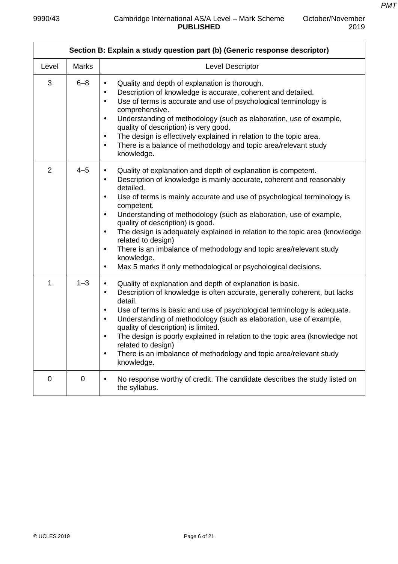| Section B: Explain a study question part (b) (Generic response descriptor) |              |                                                                                                                                                                                                                                                                                                                                                                                                                                                                                                                                                                                                                                                                                                             |  |
|----------------------------------------------------------------------------|--------------|-------------------------------------------------------------------------------------------------------------------------------------------------------------------------------------------------------------------------------------------------------------------------------------------------------------------------------------------------------------------------------------------------------------------------------------------------------------------------------------------------------------------------------------------------------------------------------------------------------------------------------------------------------------------------------------------------------------|--|
| Level                                                                      | <b>Marks</b> | Level Descriptor                                                                                                                                                                                                                                                                                                                                                                                                                                                                                                                                                                                                                                                                                            |  |
| 3                                                                          | $6 - 8$      | Quality and depth of explanation is thorough.<br>$\bullet$<br>Description of knowledge is accurate, coherent and detailed.<br>$\bullet$<br>Use of terms is accurate and use of psychological terminology is<br>$\bullet$<br>comprehensive.<br>Understanding of methodology (such as elaboration, use of example,<br>$\bullet$<br>quality of description) is very good.<br>The design is effectively explained in relation to the topic area.<br>$\bullet$<br>There is a balance of methodology and topic area/relevant study<br>$\bullet$<br>knowledge.                                                                                                                                                     |  |
| $\overline{2}$                                                             | $4 - 5$      | Quality of explanation and depth of explanation is competent.<br>$\bullet$<br>Description of knowledge is mainly accurate, coherent and reasonably<br>$\bullet$<br>detailed.<br>Use of terms is mainly accurate and use of psychological terminology is<br>$\bullet$<br>competent.<br>Understanding of methodology (such as elaboration, use of example,<br>$\bullet$<br>quality of description) is good.<br>The design is adequately explained in relation to the topic area (knowledge<br>$\bullet$<br>related to design)<br>There is an imbalance of methodology and topic area/relevant study<br>$\bullet$<br>knowledge.<br>Max 5 marks if only methodological or psychological decisions.<br>$\bullet$ |  |
| 1                                                                          | $1 - 3$      | Quality of explanation and depth of explanation is basic.<br>$\bullet$<br>Description of knowledge is often accurate, generally coherent, but lacks<br>$\bullet$<br>detail.<br>Use of terms is basic and use of psychological terminology is adequate.<br>$\bullet$<br>Understanding of methodology (such as elaboration, use of example,<br>$\bullet$<br>quality of description) is limited.<br>The design is poorly explained in relation to the topic area (knowledge not<br>$\bullet$<br>related to design)<br>There is an imbalance of methodology and topic area/relevant study<br>٠<br>knowledge.                                                                                                    |  |
| $\mathbf 0$                                                                | $\mathbf 0$  | No response worthy of credit. The candidate describes the study listed on<br>$\bullet$<br>the syllabus.                                                                                                                                                                                                                                                                                                                                                                                                                                                                                                                                                                                                     |  |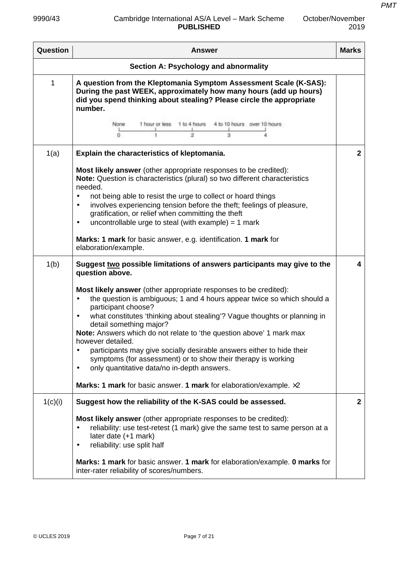### 9990/43 Cambridge International AS/A Level – Mark Scheme **PUBLISHED**

October/November

2019

ł

| Question | <b>Answer</b>                                                                                                                                                                                                                                                                                                                                                                                                                                                                                                                                                                                                                                                                                     | <b>Marks</b> |
|----------|---------------------------------------------------------------------------------------------------------------------------------------------------------------------------------------------------------------------------------------------------------------------------------------------------------------------------------------------------------------------------------------------------------------------------------------------------------------------------------------------------------------------------------------------------------------------------------------------------------------------------------------------------------------------------------------------------|--------------|
|          | Section A: Psychology and abnormality                                                                                                                                                                                                                                                                                                                                                                                                                                                                                                                                                                                                                                                             |              |
| 1        | A question from the Kleptomania Symptom Assessment Scale (K-SAS):<br>During the past WEEK, approximately how many hours (add up hours)<br>did you spend thinking about stealing? Please circle the appropriate<br>number.<br>1 hour or less<br>1 to 4 hours 4 to 10 hours over 10 hours<br>None:<br>ä<br>o<br>$\bar{2}$<br>1                                                                                                                                                                                                                                                                                                                                                                      |              |
| 1(a)     | Explain the characteristics of kleptomania.                                                                                                                                                                                                                                                                                                                                                                                                                                                                                                                                                                                                                                                       | $\mathbf{2}$ |
|          | <b>Most likely answer</b> (other appropriate responses to be credited):<br>Note: Question is characteristics (plural) so two different characteristics<br>needed.<br>not being able to resist the urge to collect or hoard things<br>$\bullet$<br>involves experiencing tension before the theft; feelings of pleasure,<br>$\bullet$<br>gratification, or relief when committing the theft<br>uncontrollable urge to steal (with example) = $1$ mark<br>$\bullet$<br>Marks: 1 mark for basic answer, e.g. identification. 1 mark for<br>elaboration/example.                                                                                                                                      |              |
| 1(b)     | Suggest two possible limitations of answers participants may give to the<br>question above.                                                                                                                                                                                                                                                                                                                                                                                                                                                                                                                                                                                                       | 4            |
|          | Most likely answer (other appropriate responses to be credited):<br>the question is ambiguous; 1 and 4 hours appear twice so which should a<br>$\bullet$<br>participant choose?<br>what constitutes 'thinking about stealing'? Vague thoughts or planning in<br>$\bullet$<br>detail something major?<br>Note: Answers which do not relate to 'the question above' 1 mark max<br>however detailed.<br>participants may give socially desirable answers either to hide their<br>٠<br>symptoms (for assessment) or to show their therapy is working<br>only quantitative data/no in-depth answers.<br>$\bullet$<br><b>Marks: 1 mark</b> for basic answer. 1 mark for elaboration/example. $\times 2$ |              |
| 1(c)(i)  | Suggest how the reliability of the K-SAS could be assessed.                                                                                                                                                                                                                                                                                                                                                                                                                                                                                                                                                                                                                                       | $\mathbf{2}$ |
|          | <b>Most likely answer</b> (other appropriate responses to be credited):<br>reliability: use test-retest (1 mark) give the same test to same person at a<br>٠<br>later date (+1 mark)<br>reliability: use split half<br>$\bullet$<br>Marks: 1 mark for basic answer. 1 mark for elaboration/example. 0 marks for<br>inter-rater reliability of scores/numbers.                                                                                                                                                                                                                                                                                                                                     |              |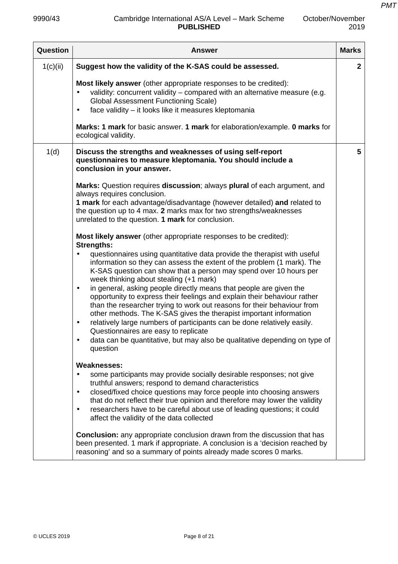| Question | <b>Answer</b>                                                                                                                                                                                                                                                                                                                                                                                                                                                                                                                                                                                                                                                                                                                                                                                                                                                                                        | <b>Marks</b> |
|----------|------------------------------------------------------------------------------------------------------------------------------------------------------------------------------------------------------------------------------------------------------------------------------------------------------------------------------------------------------------------------------------------------------------------------------------------------------------------------------------------------------------------------------------------------------------------------------------------------------------------------------------------------------------------------------------------------------------------------------------------------------------------------------------------------------------------------------------------------------------------------------------------------------|--------------|
| 1(c)(ii) | Suggest how the validity of the K-SAS could be assessed.                                                                                                                                                                                                                                                                                                                                                                                                                                                                                                                                                                                                                                                                                                                                                                                                                                             | $\mathbf{2}$ |
|          | Most likely answer (other appropriate responses to be credited):<br>validity: concurrent validity - compared with an alternative measure (e.g.<br><b>Global Assessment Functioning Scale)</b><br>face validity - it looks like it measures kleptomania<br>$\bullet$                                                                                                                                                                                                                                                                                                                                                                                                                                                                                                                                                                                                                                  |              |
|          | <b>Marks: 1 mark</b> for basic answer. 1 mark for elaboration/example. 0 marks for<br>ecological validity.                                                                                                                                                                                                                                                                                                                                                                                                                                                                                                                                                                                                                                                                                                                                                                                           |              |
| 1(d)     | Discuss the strengths and weaknesses of using self-report<br>questionnaires to measure kleptomania. You should include a<br>conclusion in your answer.                                                                                                                                                                                                                                                                                                                                                                                                                                                                                                                                                                                                                                                                                                                                               | 5            |
|          | Marks: Question requires discussion; always plural of each argument, and<br>always requires conclusion.<br>1 mark for each advantage/disadvantage (however detailed) and related to<br>the question up to 4 max. 2 marks max for two strengths/weaknesses<br>unrelated to the question. 1 mark for conclusion.                                                                                                                                                                                                                                                                                                                                                                                                                                                                                                                                                                                       |              |
|          | Most likely answer (other appropriate responses to be credited):<br><b>Strengths:</b><br>questionnaires using quantitative data provide the therapist with useful<br>information so they can assess the extent of the problem (1 mark). The<br>K-SAS question can show that a person may spend over 10 hours per<br>week thinking about stealing (+1 mark)<br>in general, asking people directly means that people are given the<br>$\bullet$<br>opportunity to express their feelings and explain their behaviour rather<br>than the researcher trying to work out reasons for their behaviour from<br>other methods. The K-SAS gives the therapist important information<br>relatively large numbers of participants can be done relatively easily.<br>$\bullet$<br>Questionnaires are easy to replicate<br>data can be quantitative, but may also be qualitative depending on type of<br>question |              |
|          | <b>Weaknesses:</b><br>some participants may provide socially desirable responses; not give<br>truthful answers; respond to demand characteristics<br>closed/fixed choice questions may force people into choosing answers<br>$\bullet$<br>that do not reflect their true opinion and therefore may lower the validity<br>researchers have to be careful about use of leading questions; it could<br>$\bullet$<br>affect the validity of the data collected<br><b>Conclusion:</b> any appropriate conclusion drawn from the discussion that has<br>been presented. 1 mark if appropriate. A conclusion is a 'decision reached by<br>reasoning' and so a summary of points already made scores 0 marks.                                                                                                                                                                                                |              |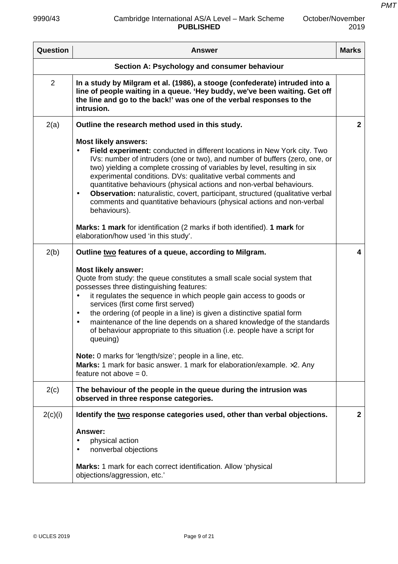| <b>Question</b> | <b>Answer</b>                                                                                                                                                                                                                                                                                                                                                                                                                                                                                                                                                                                                                                                                                                                                                                                                                                                                    | <b>Marks</b>            |
|-----------------|----------------------------------------------------------------------------------------------------------------------------------------------------------------------------------------------------------------------------------------------------------------------------------------------------------------------------------------------------------------------------------------------------------------------------------------------------------------------------------------------------------------------------------------------------------------------------------------------------------------------------------------------------------------------------------------------------------------------------------------------------------------------------------------------------------------------------------------------------------------------------------|-------------------------|
|                 | Section A: Psychology and consumer behaviour                                                                                                                                                                                                                                                                                                                                                                                                                                                                                                                                                                                                                                                                                                                                                                                                                                     |                         |
| $\overline{2}$  | In a study by Milgram et al. (1986), a stooge (confederate) intruded into a<br>line of people waiting in a queue. 'Hey buddy, we've been waiting. Get off<br>the line and go to the back!' was one of the verbal responses to the<br>intrusion.                                                                                                                                                                                                                                                                                                                                                                                                                                                                                                                                                                                                                                  |                         |
| 2(a)            | Outline the research method used in this study.                                                                                                                                                                                                                                                                                                                                                                                                                                                                                                                                                                                                                                                                                                                                                                                                                                  | $\overline{2}$          |
|                 | <b>Most likely answers:</b><br>Field experiment: conducted in different locations in New York city. Two<br>IVs: number of intruders (one or two), and number of buffers (zero, one, or<br>two) yielding a complete crossing of variables by level, resulting in six<br>experimental conditions. DVs: qualitative verbal comments and<br>quantitative behaviours (physical actions and non-verbal behaviours.<br>Observation: naturalistic, covert, participant, structured (qualitative verbal<br>$\bullet$<br>comments and quantitative behaviours (physical actions and non-verbal<br>behaviours).                                                                                                                                                                                                                                                                             |                         |
|                 | Marks: 1 mark for identification (2 marks if both identified). 1 mark for<br>elaboration/how used 'in this study'.                                                                                                                                                                                                                                                                                                                                                                                                                                                                                                                                                                                                                                                                                                                                                               |                         |
| 2(b)<br>2(c)    | Outline two features of a queue, according to Milgram.<br><b>Most likely answer:</b><br>Quote from study: the queue constitutes a small scale social system that<br>possesses three distinguishing features:<br>it regulates the sequence in which people gain access to goods or<br>services (first come first served)<br>the ordering (of people in a line) is given a distinctive spatial form<br>$\bullet$<br>maintenance of the line depends on a shared knowledge of the standards<br>$\bullet$<br>of behaviour appropriate to this situation (i.e. people have a script for<br>queuing)<br>Note: 0 marks for 'length/size'; people in a line, etc.<br>Marks: 1 mark for basic answer. 1 mark for elaboration/example. x2. Any<br>feature not above $= 0$ .<br>The behaviour of the people in the queue during the intrusion was<br>observed in three response categories. | $\overline{\mathbf{4}}$ |
| 2(c)(i)         | Identify the two response categories used, other than verbal objections.<br>Answer:<br>physical action<br>nonverbal objections<br>Marks: 1 mark for each correct identification. Allow 'physical<br>objections/aggression, etc.'                                                                                                                                                                                                                                                                                                                                                                                                                                                                                                                                                                                                                                                 | $\mathbf{2}$            |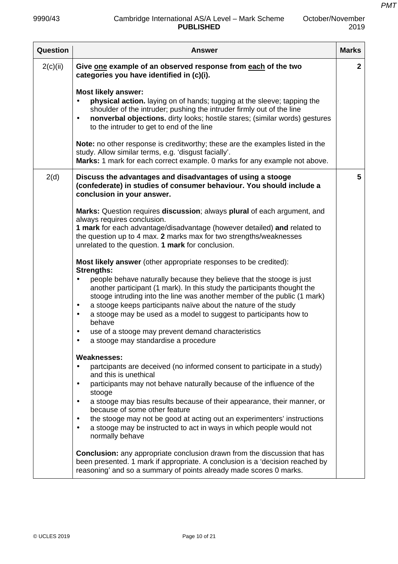| <b>PUBLISHED</b>                                                                                                                                                                                                                                                                                                                                                                                                                                                                                                                                                                                          | 2019                                                                                                                                                |
|-----------------------------------------------------------------------------------------------------------------------------------------------------------------------------------------------------------------------------------------------------------------------------------------------------------------------------------------------------------------------------------------------------------------------------------------------------------------------------------------------------------------------------------------------------------------------------------------------------------|-----------------------------------------------------------------------------------------------------------------------------------------------------|
| <b>Answer</b>                                                                                                                                                                                                                                                                                                                                                                                                                                                                                                                                                                                             | <b>Marks</b>                                                                                                                                        |
| Give one example of an observed response from each of the two<br>categories you have identified in (c)(i).                                                                                                                                                                                                                                                                                                                                                                                                                                                                                                | $\mathbf{2}$                                                                                                                                        |
| <b>Most likely answer:</b><br>physical action. laying on of hands; tugging at the sleeve; tapping the<br>shoulder of the intruder; pushing the intruder firmly out of the line<br>nonverbal objections. dirty looks; hostile stares; (similar words) gestures<br>$\bullet$<br>to the intruder to get to end of the line                                                                                                                                                                                                                                                                                   |                                                                                                                                                     |
| Note: no other response is creditworthy; these are the examples listed in the<br>study. Allow similar terms, e.g. 'disgust facially'.<br>Marks: 1 mark for each correct example. 0 marks for any example not above.                                                                                                                                                                                                                                                                                                                                                                                       |                                                                                                                                                     |
| Discuss the advantages and disadvantages of using a stooge<br>(confederate) in studies of consumer behaviour. You should include a<br>conclusion in your answer.                                                                                                                                                                                                                                                                                                                                                                                                                                          | 5                                                                                                                                                   |
| <b>Marks:</b> Question requires <b>discussion</b> ; always <b>plural</b> of each argument, and<br>always requires conclusion.<br>1 mark for each advantage/disadvantage (however detailed) and related to<br>the question up to 4 max. 2 marks max for two strengths/weaknesses<br>unrelated to the question. 1 mark for conclusion.                                                                                                                                                                                                                                                                      |                                                                                                                                                     |
| <b>Most likely answer</b> (other appropriate responses to be credited):<br><b>Strengths:</b><br>people behave naturally because they believe that the stooge is just<br>another participant (1 mark). In this study the participants thought the<br>stooge intruding into the line was another member of the public (1 mark)<br>a stooge keeps participants naïve about the nature of the study<br>$\bullet$<br>a stooge may be used as a model to suggest to participants how to<br>behave<br>use of a stooge may prevent demand characteristics<br>$\bullet$<br>a stooge may standardise a procedure    |                                                                                                                                                     |
| <b>Weaknesses:</b><br>partcipants are deceived (no informed consent to participate in a study)<br>and this is unethical<br>participants may not behave naturally because of the influence of the<br>$\bullet$<br>stooge<br>a stooge may bias results because of their appearance, their manner, or<br>$\bullet$<br>because of some other feature<br>the stooge may not be good at acting out an experimenters' instructions<br>a stooge may be instructed to act in ways in which people would not<br>normally behave<br><b>Conclusion:</b> any appropriate conclusion drawn from the discussion that has |                                                                                                                                                     |
|                                                                                                                                                                                                                                                                                                                                                                                                                                                                                                                                                                                                           | been presented. 1 mark if appropriate. A conclusion is a 'decision reached by<br>reasoning' and so a summary of points already made scores 0 marks. |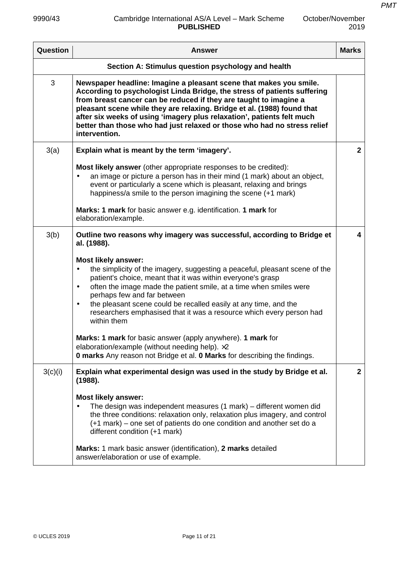$\mathsf{r}$ 

| October/November |
|------------------|
| 2019             |

| Question | <b>Answer</b>                                                                                                                                                                                                                                                                                                                                                                                                                                                                   | <b>Marks</b>   |
|----------|---------------------------------------------------------------------------------------------------------------------------------------------------------------------------------------------------------------------------------------------------------------------------------------------------------------------------------------------------------------------------------------------------------------------------------------------------------------------------------|----------------|
|          | Section A: Stimulus question psychology and health                                                                                                                                                                                                                                                                                                                                                                                                                              |                |
| 3        | Newspaper headline: Imagine a pleasant scene that makes you smile.<br>According to psychologist Linda Bridge, the stress of patients suffering<br>from breast cancer can be reduced if they are taught to imagine a<br>pleasant scene while they are relaxing. Bridge et al. (1988) found that<br>after six weeks of using 'imagery plus relaxation', patients felt much<br>better than those who had just relaxed or those who had no stress relief<br>intervention.           |                |
| 3(a)     | Explain what is meant by the term 'imagery'.                                                                                                                                                                                                                                                                                                                                                                                                                                    | $\overline{2}$ |
|          | <b>Most likely answer</b> (other appropriate responses to be credited):<br>an image or picture a person has in their mind (1 mark) about an object,<br>$\bullet$<br>event or particularly a scene which is pleasant, relaxing and brings<br>happiness/a smile to the person imagining the scene (+1 mark)                                                                                                                                                                       |                |
|          | Marks: 1 mark for basic answer e.g. identification. 1 mark for<br>elaboration/example.                                                                                                                                                                                                                                                                                                                                                                                          |                |
| 3(b)     | Outline two reasons why imagery was successful, according to Bridge et<br>al. (1988).                                                                                                                                                                                                                                                                                                                                                                                           | 4              |
|          | <b>Most likely answer:</b><br>the simplicity of the imagery, suggesting a peaceful, pleasant scene of the<br>$\bullet$<br>patient's choice, meant that it was within everyone's grasp<br>often the image made the patient smile, at a time when smiles were<br>$\bullet$<br>perhaps few and far between<br>the pleasant scene could be recalled easily at any time, and the<br>$\bullet$<br>researchers emphasised that it was a resource which every person had<br>within them |                |
|          | Marks: 1 mark for basic answer (apply anywhere). 1 mark for<br>elaboration/example (without needing help). ×2<br><b>0 marks</b> Any reason not Bridge et al. <b>0 Marks</b> for describing the findings.                                                                                                                                                                                                                                                                        |                |
| 3(c)(i)  | Explain what experimental design was used in the study by Bridge et al.<br>(1988).                                                                                                                                                                                                                                                                                                                                                                                              | $\mathbf{2}$   |
|          | <b>Most likely answer:</b><br>The design was independent measures (1 mark) – different women did<br>the three conditions: relaxation only, relaxation plus imagery, and control<br>(+1 mark) – one set of patients do one condition and another set do a<br>different condition (+1 mark)                                                                                                                                                                                       |                |
|          | Marks: 1 mark basic answer (identification), 2 marks detailed<br>answer/elaboration or use of example.                                                                                                                                                                                                                                                                                                                                                                          |                |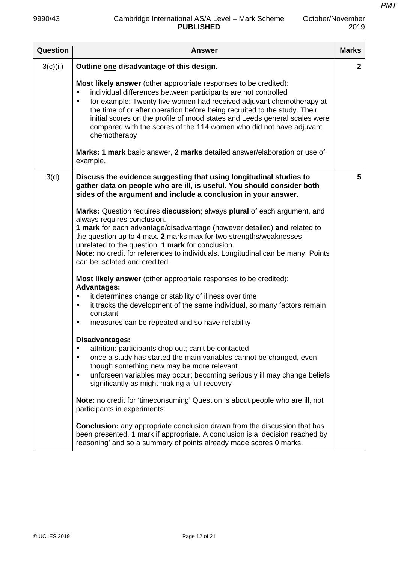| Question | <b>Answer</b>                                                                                                                                                                                                                                                                                                                                                                                                                                                             | <b>Marks</b> |
|----------|---------------------------------------------------------------------------------------------------------------------------------------------------------------------------------------------------------------------------------------------------------------------------------------------------------------------------------------------------------------------------------------------------------------------------------------------------------------------------|--------------|
| 3(c)(ii) | Outline one disadvantage of this design.                                                                                                                                                                                                                                                                                                                                                                                                                                  | $\mathbf{2}$ |
|          | Most likely answer (other appropriate responses to be credited):<br>individual differences between participants are not controlled<br>for example: Twenty five women had received adjuvant chemotherapy at<br>$\bullet$<br>the time of or after operation before being recruited to the study. Their<br>initial scores on the profile of mood states and Leeds general scales were<br>compared with the scores of the 114 women who did not have adjuvant<br>chemotherapy |              |
|          | Marks: 1 mark basic answer, 2 marks detailed answer/elaboration or use of<br>example.                                                                                                                                                                                                                                                                                                                                                                                     |              |
| 3(d)     | Discuss the evidence suggesting that using longitudinal studies to<br>gather data on people who are ill, is useful. You should consider both<br>sides of the argument and include a conclusion in your answer.                                                                                                                                                                                                                                                            | 5            |
|          | Marks: Question requires discussion; always plural of each argument, and<br>always requires conclusion.<br>1 mark for each advantage/disadvantage (however detailed) and related to<br>the question up to 4 max. 2 marks max for two strengths/weaknesses<br>unrelated to the question. 1 mark for conclusion.<br>Note: no credit for references to individuals. Longitudinal can be many. Points<br>can be isolated and credited.                                        |              |
|          | <b>Most likely answer</b> (other appropriate responses to be credited):<br><b>Advantages:</b><br>it determines change or stability of illness over time<br>$\bullet$<br>it tracks the development of the same individual, so many factors remain<br>$\bullet$<br>constant<br>measures can be repeated and so have reliability<br>$\bullet$                                                                                                                                |              |
|          | Disadvantages:<br>attrition: participants drop out; can't be contacted<br>$\bullet$<br>once a study has started the main variables cannot be changed, even<br>$\bullet$<br>though something new may be more relevant<br>unforseen variables may occur; becoming seriously ill may change beliefs<br>$\bullet$<br>significantly as might making a full recovery                                                                                                            |              |
|          | <b>Note:</b> no credit for 'timeconsuming' Question is about people who are ill, not<br>participants in experiments.                                                                                                                                                                                                                                                                                                                                                      |              |
|          | <b>Conclusion:</b> any appropriate conclusion drawn from the discussion that has<br>been presented. 1 mark if appropriate. A conclusion is a 'decision reached by<br>reasoning' and so a summary of points already made scores 0 marks.                                                                                                                                                                                                                                   |              |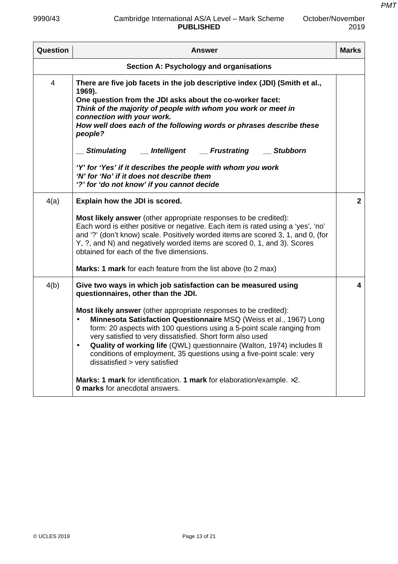### 9990/43 Cambridge International AS/A Level – Mark Scheme **PUBLISHED**

*PMT*

| <b>Question</b>                                | <b>Answer</b>                                                                                                                                                                                                                                                                                                                                                                                                                                                                                                                                          | <b>Marks</b>   |
|------------------------------------------------|--------------------------------------------------------------------------------------------------------------------------------------------------------------------------------------------------------------------------------------------------------------------------------------------------------------------------------------------------------------------------------------------------------------------------------------------------------------------------------------------------------------------------------------------------------|----------------|
| <b>Section A: Psychology and organisations</b> |                                                                                                                                                                                                                                                                                                                                                                                                                                                                                                                                                        |                |
| 4                                              | There are five job facets in the job descriptive index (JDI) (Smith et al.,<br>1969).<br>One question from the JDI asks about the co-worker facet:<br>Think of the majority of people with whom you work or meet in<br>connection with your work.<br>How well does each of the following words or phrases describe these<br>people?<br>Stimulating __ Intelligent __ Frustrating __ Stubborn<br>'Y' for 'Yes' if it describes the people with whom you work<br>'N' for 'No' if it does not describe them<br>'?' for 'do not know' if you cannot decide |                |
| 4(a)                                           | Explain how the JDI is scored.<br>Most likely answer (other appropriate responses to be credited):                                                                                                                                                                                                                                                                                                                                                                                                                                                     | $\overline{2}$ |
|                                                | Each word is either positive or negative. Each item is rated using a 'yes', 'no'<br>and '?' (don't know) scale. Positively worded items are scored 3, 1, and 0, (for<br>Y, ?, and N) and negatively worded items are scored 0, 1, and 3). Scores<br>obtained for each of the five dimensions.                                                                                                                                                                                                                                                          |                |
|                                                | Marks: 1 mark for each feature from the list above (to 2 max)                                                                                                                                                                                                                                                                                                                                                                                                                                                                                          |                |
| 4(b)                                           | Give two ways in which job satisfaction can be measured using<br>questionnaires, other than the JDI.<br>Most likely answer (other appropriate responses to be credited):                                                                                                                                                                                                                                                                                                                                                                               | 4              |
|                                                | Minnesota Satisfaction Questionnaire MSQ (Weiss et al., 1967) Long<br>form: 20 aspects with 100 questions using a 5-point scale ranging from<br>very satisfied to very dissatisfied. Short form also used<br>Quality of working life (QWL) questionnaire (Walton, 1974) includes 8<br>conditions of employment, 35 questions using a five-point scale: very<br>dissatisfied > very satisfied                                                                                                                                                           |                |
|                                                | <b>Marks: 1 mark</b> for identification. 1 mark for elaboration/example. $\times 2$ .<br><b>0 marks</b> for anecdotal answers.                                                                                                                                                                                                                                                                                                                                                                                                                         |                |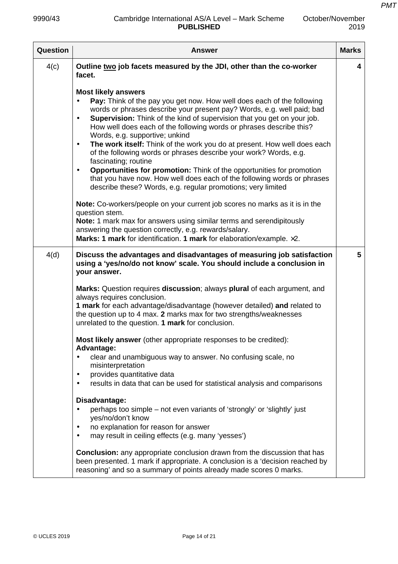| <b>Question</b> | <b>Answer</b>                                                                                                                                                                                                                                                                                                                                                                                                                                                                                                                                                                                                                                                                                                                                                                                                              | <b>Marks</b> |
|-----------------|----------------------------------------------------------------------------------------------------------------------------------------------------------------------------------------------------------------------------------------------------------------------------------------------------------------------------------------------------------------------------------------------------------------------------------------------------------------------------------------------------------------------------------------------------------------------------------------------------------------------------------------------------------------------------------------------------------------------------------------------------------------------------------------------------------------------------|--------------|
| 4(c)            | Outline two job facets measured by the JDI, other than the co-worker<br>facet.                                                                                                                                                                                                                                                                                                                                                                                                                                                                                                                                                                                                                                                                                                                                             | 4            |
|                 | <b>Most likely answers</b><br>Pay: Think of the pay you get now. How well does each of the following<br>$\bullet$<br>words or phrases describe your present pay? Words, e.g. well paid; bad<br><b>Supervision:</b> Think of the kind of supervision that you get on your job.<br>$\bullet$<br>How well does each of the following words or phrases describe this?<br>Words, e.g. supportive; unkind<br>The work itself: Think of the work you do at present. How well does each<br>$\bullet$<br>of the following words or phrases describe your work? Words, e.g.<br>fascinating; routine<br>Opportunities for promotion: Think of the opportunities for promotion<br>$\bullet$<br>that you have now. How well does each of the following words or phrases<br>describe these? Words, e.g. regular promotions; very limited |              |
|                 | Note: Co-workers/people on your current job scores no marks as it is in the<br>question stem.<br>Note: 1 mark max for answers using similar terms and serendipitously<br>answering the question correctly, e.g. rewards/salary.<br>Marks: 1 mark for identification. 1 mark for elaboration/example. x2.                                                                                                                                                                                                                                                                                                                                                                                                                                                                                                                   |              |
| 4(d)            | Discuss the advantages and disadvantages of measuring job satisfaction<br>using a 'yes/no/do not know' scale. You should include a conclusion in<br>your answer.                                                                                                                                                                                                                                                                                                                                                                                                                                                                                                                                                                                                                                                           | 5            |
|                 | Marks: Question requires discussion; always plural of each argument, and<br>always requires conclusion.<br>1 mark for each advantage/disadvantage (however detailed) and related to<br>the question up to 4 max. 2 marks max for two strengths/weaknesses<br>unrelated to the question. 1 mark for conclusion.                                                                                                                                                                                                                                                                                                                                                                                                                                                                                                             |              |
|                 | Most likely answer (other appropriate responses to be credited):<br>Advantage:                                                                                                                                                                                                                                                                                                                                                                                                                                                                                                                                                                                                                                                                                                                                             |              |
|                 | clear and unambiguous way to answer. No confusing scale, no<br>$\bullet$<br>misinterpretation<br>provides quantitative data<br>$\bullet$                                                                                                                                                                                                                                                                                                                                                                                                                                                                                                                                                                                                                                                                                   |              |
|                 | results in data that can be used for statistical analysis and comparisons                                                                                                                                                                                                                                                                                                                                                                                                                                                                                                                                                                                                                                                                                                                                                  |              |
|                 | Disadvantage:<br>perhaps too simple – not even variants of 'strongly' or 'slightly' just<br>$\bullet$<br>yes/no/don't know<br>no explanation for reason for answer<br>may result in ceiling effects (e.g. many 'yesses')<br>$\bullet$                                                                                                                                                                                                                                                                                                                                                                                                                                                                                                                                                                                      |              |
|                 | <b>Conclusion:</b> any appropriate conclusion drawn from the discussion that has<br>been presented. 1 mark if appropriate. A conclusion is a 'decision reached by<br>reasoning' and so a summary of points already made scores 0 marks.                                                                                                                                                                                                                                                                                                                                                                                                                                                                                                                                                                                    |              |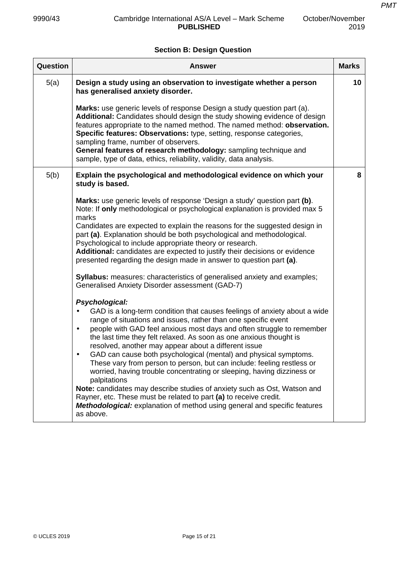# **Section B: Design Question**

| <b>Question</b> | <b>Answer</b>                                                                                                                                                                                                                                                                                                                                                                                                                                                                                                                                                                                                                                                                                                                                                                                                                                                                                         | <b>Marks</b> |
|-----------------|-------------------------------------------------------------------------------------------------------------------------------------------------------------------------------------------------------------------------------------------------------------------------------------------------------------------------------------------------------------------------------------------------------------------------------------------------------------------------------------------------------------------------------------------------------------------------------------------------------------------------------------------------------------------------------------------------------------------------------------------------------------------------------------------------------------------------------------------------------------------------------------------------------|--------------|
| 5(a)            | Design a study using an observation to investigate whether a person<br>has generalised anxiety disorder.                                                                                                                                                                                                                                                                                                                                                                                                                                                                                                                                                                                                                                                                                                                                                                                              | 10           |
|                 | Marks: use generic levels of response Design a study question part (a).<br>Additional: Candidates should design the study showing evidence of design<br>features appropriate to the named method. The named method: observation.<br>Specific features: Observations: type, setting, response categories,<br>sampling frame, number of observers.<br>General features of research methodology: sampling technique and<br>sample, type of data, ethics, reliability, validity, data analysis.                                                                                                                                                                                                                                                                                                                                                                                                           |              |
| 5(b)            | Explain the psychological and methodological evidence on which your<br>study is based.                                                                                                                                                                                                                                                                                                                                                                                                                                                                                                                                                                                                                                                                                                                                                                                                                | 8            |
|                 | <b>Marks:</b> use generic levels of response 'Design a study' question part (b).<br>Note: If only methodological or psychological explanation is provided max 5<br>marks                                                                                                                                                                                                                                                                                                                                                                                                                                                                                                                                                                                                                                                                                                                              |              |
|                 | Candidates are expected to explain the reasons for the suggested design in<br>part (a). Explanation should be both psychological and methodological.<br>Psychological to include appropriate theory or research.<br>Additional: candidates are expected to justify their decisions or evidence<br>presented regarding the design made in answer to question part (a).                                                                                                                                                                                                                                                                                                                                                                                                                                                                                                                                 |              |
|                 | <b>Syllabus:</b> measures: characteristics of generalised anxiety and examples;<br>Generalised Anxiety Disorder assessment (GAD-7)                                                                                                                                                                                                                                                                                                                                                                                                                                                                                                                                                                                                                                                                                                                                                                    |              |
|                 | Psychological:<br>GAD is a long-term condition that causes feelings of anxiety about a wide<br>$\bullet$<br>range of situations and issues, rather than one specific event<br>people with GAD feel anxious most days and often struggle to remember<br>$\bullet$<br>the last time they felt relaxed. As soon as one anxious thought is<br>resolved, another may appear about a different issue<br>GAD can cause both psychological (mental) and physical symptoms.<br>$\bullet$<br>These vary from person to person, but can include: feeling restless or<br>worried, having trouble concentrating or sleeping, having dizziness or<br>palpitations<br>Note: candidates may describe studies of anxiety such as Ost, Watson and<br>Rayner, etc. These must be related to part (a) to receive credit.<br><b>Methodological:</b> explanation of method using general and specific features<br>as above. |              |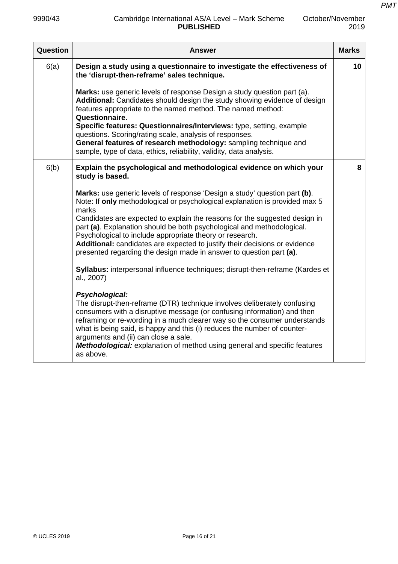| Question | Answer                                                                                                                                                                                                                                                                                                                                                                                                                                                                                                                                                                                                                                                                                                                                                                                                                                                                                                                                                                                                                                                                                                        | <b>Marks</b> |
|----------|---------------------------------------------------------------------------------------------------------------------------------------------------------------------------------------------------------------------------------------------------------------------------------------------------------------------------------------------------------------------------------------------------------------------------------------------------------------------------------------------------------------------------------------------------------------------------------------------------------------------------------------------------------------------------------------------------------------------------------------------------------------------------------------------------------------------------------------------------------------------------------------------------------------------------------------------------------------------------------------------------------------------------------------------------------------------------------------------------------------|--------------|
| 6(a)     | Design a study using a questionnaire to investigate the effectiveness of<br>the 'disrupt-then-reframe' sales technique.                                                                                                                                                                                                                                                                                                                                                                                                                                                                                                                                                                                                                                                                                                                                                                                                                                                                                                                                                                                       | 10           |
|          | Marks: use generic levels of response Design a study question part (a).<br>Additional: Candidates should design the study showing evidence of design<br>features appropriate to the named method. The named method:<br>Questionnaire.<br>Specific features: Questionnaires/Interviews: type, setting, example<br>questions. Scoring/rating scale, analysis of responses.<br>General features of research methodology: sampling technique and<br>sample, type of data, ethics, reliability, validity, data analysis.                                                                                                                                                                                                                                                                                                                                                                                                                                                                                                                                                                                           |              |
| 6(b)     | Explain the psychological and methodological evidence on which your<br>study is based.                                                                                                                                                                                                                                                                                                                                                                                                                                                                                                                                                                                                                                                                                                                                                                                                                                                                                                                                                                                                                        | 8            |
|          | Marks: use generic levels of response 'Design a study' question part (b).<br>Note: If only methodological or psychological explanation is provided max 5<br>marks<br>Candidates are expected to explain the reasons for the suggested design in<br>part (a). Explanation should be both psychological and methodological.<br>Psychological to include appropriate theory or research.<br>Additional: candidates are expected to justify their decisions or evidence<br>presented regarding the design made in answer to question part (a).<br>Syllabus: interpersonal influence techniques; disrupt-then-reframe (Kardes et<br>al., 2007)<br>Psychological:<br>The disrupt-then-reframe (DTR) technique involves deliberately confusing<br>consumers with a disruptive message (or confusing information) and then<br>reframing or re-wording in a much clearer way so the consumer understands<br>what is being said, is happy and this (i) reduces the number of counter-<br>arguments and (ii) can close a sale.<br>Methodological: explanation of method using general and specific features<br>as above. |              |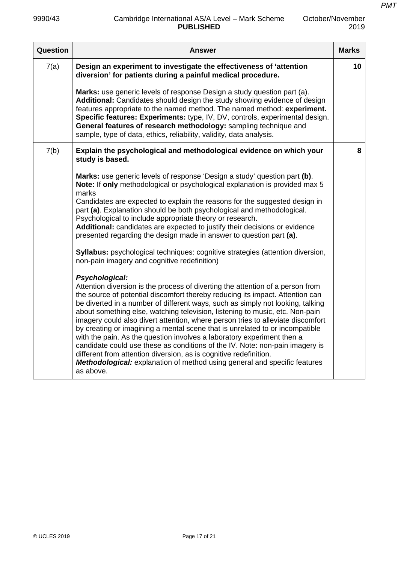| Question | <b>Answer</b>                                                                                                                                                                                                                                                                                                                                                                                                                                                                                                                                                                                                                                                                                                                                                                                                                                                                                                                                                                                                                                                                                                                                                                                                                                                                                                                                                                                                                                                                                                                                 | <b>Marks</b> |
|----------|-----------------------------------------------------------------------------------------------------------------------------------------------------------------------------------------------------------------------------------------------------------------------------------------------------------------------------------------------------------------------------------------------------------------------------------------------------------------------------------------------------------------------------------------------------------------------------------------------------------------------------------------------------------------------------------------------------------------------------------------------------------------------------------------------------------------------------------------------------------------------------------------------------------------------------------------------------------------------------------------------------------------------------------------------------------------------------------------------------------------------------------------------------------------------------------------------------------------------------------------------------------------------------------------------------------------------------------------------------------------------------------------------------------------------------------------------------------------------------------------------------------------------------------------------|--------------|
| 7(a)     | Design an experiment to investigate the effectiveness of 'attention<br>diversion' for patients during a painful medical procedure.                                                                                                                                                                                                                                                                                                                                                                                                                                                                                                                                                                                                                                                                                                                                                                                                                                                                                                                                                                                                                                                                                                                                                                                                                                                                                                                                                                                                            | 10           |
|          | Marks: use generic levels of response Design a study question part (a).<br>Additional: Candidates should design the study showing evidence of design<br>features appropriate to the named method. The named method: experiment.<br>Specific features: Experiments: type, IV, DV, controls, experimental design.<br>General features of research methodology: sampling technique and<br>sample, type of data, ethics, reliability, validity, data analysis.                                                                                                                                                                                                                                                                                                                                                                                                                                                                                                                                                                                                                                                                                                                                                                                                                                                                                                                                                                                                                                                                                    |              |
| 7(b)     | Explain the psychological and methodological evidence on which your<br>study is based.                                                                                                                                                                                                                                                                                                                                                                                                                                                                                                                                                                                                                                                                                                                                                                                                                                                                                                                                                                                                                                                                                                                                                                                                                                                                                                                                                                                                                                                        | 8            |
|          | Marks: use generic levels of response 'Design a study' question part (b).<br>Note: If only methodological or psychological explanation is provided max 5<br>marks<br>Candidates are expected to explain the reasons for the suggested design in<br>part (a). Explanation should be both psychological and methodological.<br>Psychological to include appropriate theory or research.<br>Additional: candidates are expected to justify their decisions or evidence<br>presented regarding the design made in answer to question part (a).<br><b>Syllabus:</b> psychological techniques: cognitive strategies (attention diversion,<br>non-pain imagery and cognitive redefinition)<br>Psychological:<br>Attention diversion is the process of diverting the attention of a person from<br>the source of potential discomfort thereby reducing its impact. Attention can<br>be diverted in a number of different ways, such as simply not looking, talking<br>about something else, watching television, listening to music, etc. Non-pain<br>imagery could also divert attention, where person tries to alleviate discomfort<br>by creating or imagining a mental scene that is unrelated to or incompatible<br>with the pain. As the question involves a laboratory experiment then a<br>candidate could use these as conditions of the IV. Note: non-pain imagery is<br>different from attention diversion, as is cognitive redefinition.<br><b>Methodological:</b> explanation of method using general and specific features<br>as above. |              |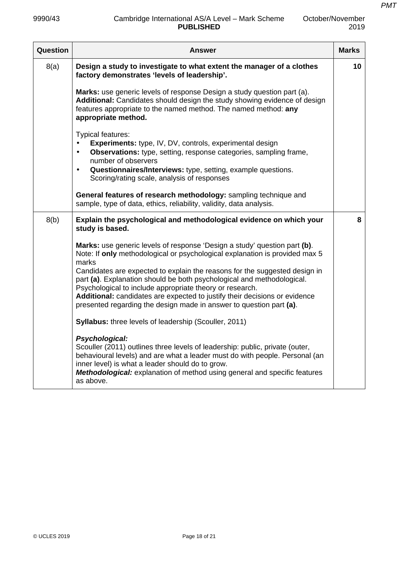| Question | <b>Answer</b>                                                                                                                                                                                                                                                                                                                                                                                                                                                                                                                              | <b>Marks</b> |
|----------|--------------------------------------------------------------------------------------------------------------------------------------------------------------------------------------------------------------------------------------------------------------------------------------------------------------------------------------------------------------------------------------------------------------------------------------------------------------------------------------------------------------------------------------------|--------------|
| 8(a)     | Design a study to investigate to what extent the manager of a clothes<br>factory demonstrates 'levels of leadership'.                                                                                                                                                                                                                                                                                                                                                                                                                      | 10           |
|          | Marks: use generic levels of response Design a study question part (a).<br>Additional: Candidates should design the study showing evidence of design<br>features appropriate to the named method. The named method: any<br>appropriate method.                                                                                                                                                                                                                                                                                             |              |
|          | Typical features:<br>Experiments: type, IV, DV, controls, experimental design<br><b>Observations:</b> type, setting, response categories, sampling frame,<br>$\bullet$<br>number of observers<br>Questionnaires/Interviews: type, setting, example questions.<br>$\bullet$<br>Scoring/rating scale, analysis of responses                                                                                                                                                                                                                  |              |
|          | General features of research methodology: sampling technique and<br>sample, type of data, ethics, reliability, validity, data analysis.                                                                                                                                                                                                                                                                                                                                                                                                    |              |
| 8(b)     | Explain the psychological and methodological evidence on which your<br>study is based.                                                                                                                                                                                                                                                                                                                                                                                                                                                     | 8            |
|          | Marks: use generic levels of response 'Design a study' question part (b).<br>Note: If only methodological or psychological explanation is provided max 5<br>marks<br>Candidates are expected to explain the reasons for the suggested design in<br>part (a). Explanation should be both psychological and methodological.<br>Psychological to include appropriate theory or research.<br>Additional: candidates are expected to justify their decisions or evidence<br>presented regarding the design made in answer to question part (a). |              |
|          | Syllabus: three levels of leadership (Scouller, 2011)                                                                                                                                                                                                                                                                                                                                                                                                                                                                                      |              |
|          | Psychological:<br>Scouller (2011) outlines three levels of leadership: public, private (outer,<br>behavioural levels) and are what a leader must do with people. Personal (an<br>inner level) is what a leader should do to grow.<br>Methodological: explanation of method using general and specific features<br>as above.                                                                                                                                                                                                                |              |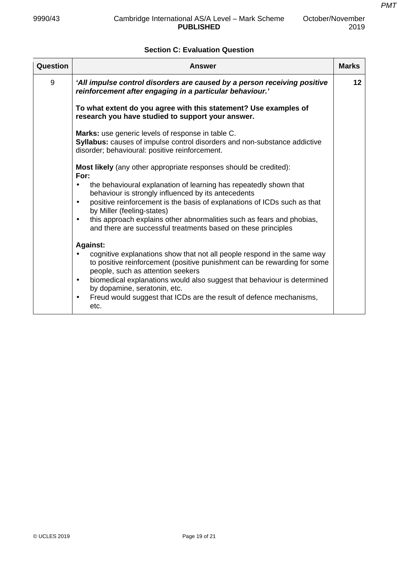# **Section C: Evaluation Question**

| Question | Answer                                                                                                                                                                                                                                                       | <b>Marks</b>    |
|----------|--------------------------------------------------------------------------------------------------------------------------------------------------------------------------------------------------------------------------------------------------------------|-----------------|
| 9        | 'All impulse control disorders are caused by a person receiving positive<br>reinforcement after engaging in a particular behaviour.'                                                                                                                         | 12 <sub>2</sub> |
|          | To what extent do you agree with this statement? Use examples of<br>research you have studied to support your answer.                                                                                                                                        |                 |
|          | Marks: use generic levels of response in table C.<br>Syllabus: causes of impulse control disorders and non-substance addictive<br>disorder; behavioural: positive reinforcement.                                                                             |                 |
|          | <b>Most likely</b> (any other appropriate responses should be credited):<br>For:                                                                                                                                                                             |                 |
|          | the behavioural explanation of learning has repeatedly shown that<br>$\bullet$<br>behaviour is strongly influenced by its antecedents<br>positive reinforcement is the basis of explanations of ICDs such as that<br>$\bullet$<br>by Miller (feeling-states) |                 |
|          | this approach explains other abnormalities such as fears and phobias,<br>$\bullet$<br>and there are successful treatments based on these principles                                                                                                          |                 |
|          | <b>Against:</b>                                                                                                                                                                                                                                              |                 |
|          | cognitive explanations show that not all people respond in the same way<br>to positive reinforcement (positive punishment can be rewarding for some<br>people, such as attention seekers                                                                     |                 |
|          | biomedical explanations would also suggest that behaviour is determined<br>$\bullet$<br>by dopamine, seratonin, etc.                                                                                                                                         |                 |
|          | Freud would suggest that ICDs are the result of defence mechanisms,<br>$\bullet$<br>etc.                                                                                                                                                                     |                 |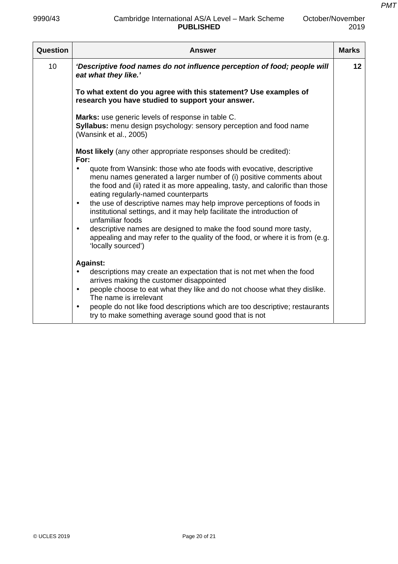### 9990/43 Cambridge International AS/A Level – Mark Scheme **PUBLISHED**

*PMT*

| Question | <b>Answer</b>                                                                                                                                                                                                                                                                                                                                                         | <b>Marks</b> |
|----------|-----------------------------------------------------------------------------------------------------------------------------------------------------------------------------------------------------------------------------------------------------------------------------------------------------------------------------------------------------------------------|--------------|
| 10       | 'Descriptive food names do not influence perception of food; people will<br>eat what they like.'                                                                                                                                                                                                                                                                      | 12           |
|          | To what extent do you agree with this statement? Use examples of<br>research you have studied to support your answer.                                                                                                                                                                                                                                                 |              |
|          | Marks: use generic levels of response in table C.<br>Syllabus: menu design psychology: sensory perception and food name<br>(Wansink et al., 2005)                                                                                                                                                                                                                     |              |
|          | <b>Most likely</b> (any other appropriate responses should be credited):<br>For:                                                                                                                                                                                                                                                                                      |              |
|          | quote from Wansink: those who ate foods with evocative, descriptive<br>$\bullet$<br>menu names generated a larger number of (i) positive comments about<br>the food and (ii) rated it as more appealing, tasty, and calorific than those<br>eating regularly-named counterparts<br>the use of descriptive names may help improve perceptions of foods in<br>$\bullet$ |              |
|          | institutional settings, and it may help facilitate the introduction of<br>unfamiliar foods                                                                                                                                                                                                                                                                            |              |
|          | descriptive names are designed to make the food sound more tasty,<br>$\bullet$<br>appealing and may refer to the quality of the food, or where it is from (e.g.<br>'locally sourced')                                                                                                                                                                                 |              |
|          | <b>Against:</b>                                                                                                                                                                                                                                                                                                                                                       |              |
|          | descriptions may create an expectation that is not met when the food                                                                                                                                                                                                                                                                                                  |              |
|          | arrives making the customer disappointed<br>people choose to eat what they like and do not choose what they dislike.<br>$\bullet$<br>The name is irrelevant                                                                                                                                                                                                           |              |
|          | people do not like food descriptions which are too descriptive; restaurants<br>$\bullet$<br>try to make something average sound good that is not                                                                                                                                                                                                                      |              |